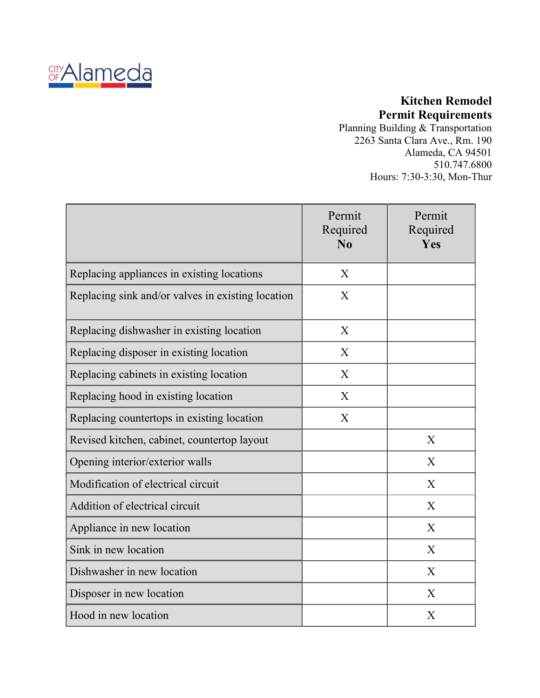

### Kitchen Remodel Permit Requirements

Planning Building & Transportation 2263 Santa Clara Ave., Rm. 190 Alameda, CA 94501 510.747.6800 Hours: 7:30-3:30, Mon-Thur

|                                                   | Permit<br>Required<br>N <sub>0</sub> | Permit<br>Required<br>Yes |
|---------------------------------------------------|--------------------------------------|---------------------------|
| Replacing appliances in existing locations        | X                                    |                           |
| Replacing sink and/or valves in existing location | X                                    |                           |
| Replacing dishwasher in existing location         | X                                    |                           |
| Replacing disposer in existing location           | X                                    |                           |
| Replacing cabinets in existing location           | X                                    |                           |
| Replacing hood in existing location               | X                                    |                           |
| Replacing countertops in existing location        | $\mathbf X$                          |                           |
| Revised kitchen, cabinet, countertop layout       |                                      | X                         |
| Opening interior/exterior walls                   |                                      | X                         |
| Modification of electrical circuit                |                                      | X                         |
| Addition of electrical circuit                    |                                      | X                         |
| Appliance in new location                         |                                      | X                         |
| Sink in new location                              |                                      | X                         |
| Dishwasher in new location                        |                                      | X                         |
| Disposer in new location                          |                                      | X                         |
| Hood in new location                              |                                      | $\boldsymbol{X}$          |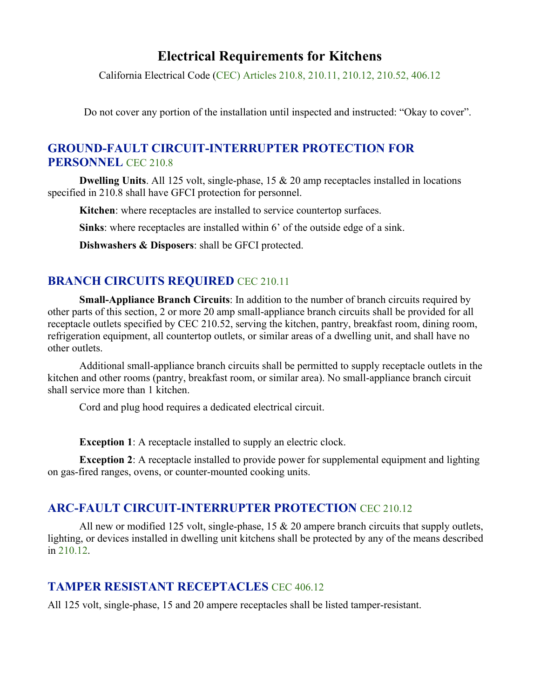# Electrical Requirements for Kitchens

California Electrical Code (CEC) Articles 210.8, 210.11, 210.12, 210.52, 406.12

Do not cover any portion of the installation until inspected and instructed: "Okay to cover".

### GROUND-FAULT CIRCUIT-INTERRUPTER PROTECTION FOR PERSONNEL CEC 210.8

**Dwelling Units.** All 125 volt, single-phase, 15  $\&$  20 amp receptacles installed in locations specified in 210.8 shall have GFCI protection for personnel.

Kitchen: where receptacles are installed to service countertop surfaces.

Sinks: where receptacles are installed within 6' of the outside edge of a sink.

Dishwashers & Disposers: shall be GFCI protected.

### BRANCH CIRCUITS REQUIRED CEC 210.11

Small-Appliance Branch Circuits: In addition to the number of branch circuits required by other parts of this section, 2 or more 20 amp small-appliance branch circuits shall be provided for all receptacle outlets specified by CEC 210.52, serving the kitchen, pantry, breakfast room, dining room, refrigeration equipment, all countertop outlets, or similar areas of a dwelling unit, and shall have no other outlets.

 Additional small-appliance branch circuits shall be permitted to supply receptacle outlets in the kitchen and other rooms (pantry, breakfast room, or similar area). No small-appliance branch circuit shall service more than 1 kitchen.

Cord and plug hood requires a dedicated electrical circuit.

Exception 1: A receptacle installed to supply an electric clock.

Exception 2: A receptacle installed to provide power for supplemental equipment and lighting on gas-fired ranges, ovens, or counter-mounted cooking units.

#### ARC-FAULT CIRCUIT-INTERRUPTER PROTECTION CEC 210.12

All new or modified 125 volt, single-phase, 15  $\&$  20 ampere branch circuits that supply outlets, lighting, or devices installed in dwelling unit kitchens shall be protected by any of the means described in 210.12.

#### TAMPER RESISTANT RECEPTACLES CEC 406.12

All 125 volt, single-phase, 15 and 20 ampere receptacles shall be listed tamper-resistant.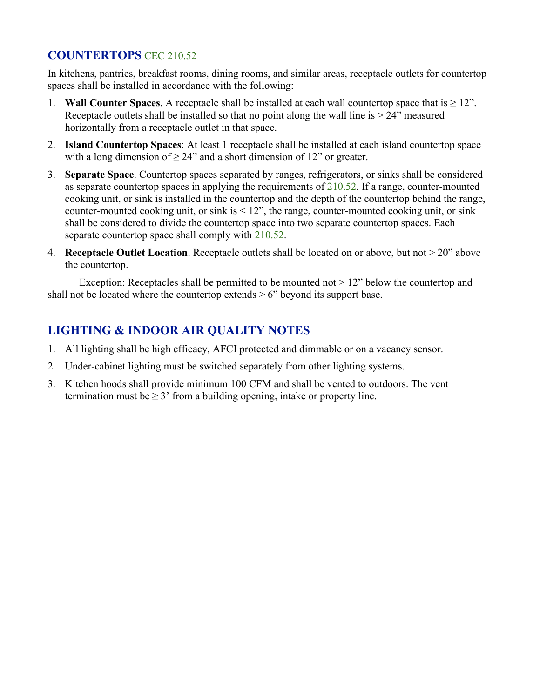### COUNTERTOPS CEC 210.52

In kitchens, pantries, breakfast rooms, dining rooms, and similar areas, receptacle outlets for countertop spaces shall be installed in accordance with the following:

- 1. Wall Counter Spaces. A receptacle shall be installed at each wall countertop space that is  $\geq 12$ ". Receptacle outlets shall be installed so that no point along the wall line is  $> 24$ " measured horizontally from a receptacle outlet in that space.
- 2. Island Countertop Spaces: At least 1 receptacle shall be installed at each island countertop space with a long dimension of  $\geq 24$ " and a short dimension of 12" or greater.
- 3. Separate Space. Countertop spaces separated by ranges, refrigerators, or sinks shall be considered as separate countertop spaces in applying the requirements of  $210.52$ . If a range, counter-mounted cooking unit, or sink is installed in the countertop and the depth of the countertop behind the range, counter-mounted cooking unit, or sink is  $\leq 12$ ", the range, counter-mounted cooking unit, or sink shall be considered to divide the countertop space into two separate countertop spaces. Each separate countertop space shall comply with  $210.52$ .<br>4. Receptacle Outlet Location. Receptacle outlets shall be located on or above, but not  $> 20$ " above
- the countertop.

Exception: Receptacles shall be permitted to be mounted not  $> 12$ " below the countertop and shall not be located where the countertop extends  $> 6$ " beyond its support base.

## LIGHTING & INDOOR AIR QUALITY NOTES

- 1. All lighting shall be high efficacy, AFCI protected and dimmable or on a vacancy sensor.
- 2. Under-cabinet lighting must be switched separately from other lighting systems.
- 3. Kitchen hoods shall provide minimum 100 CFM and shall be vented to outdoors. The vent termination must be  $\geq 3$ ' from a building opening, intake or property line.